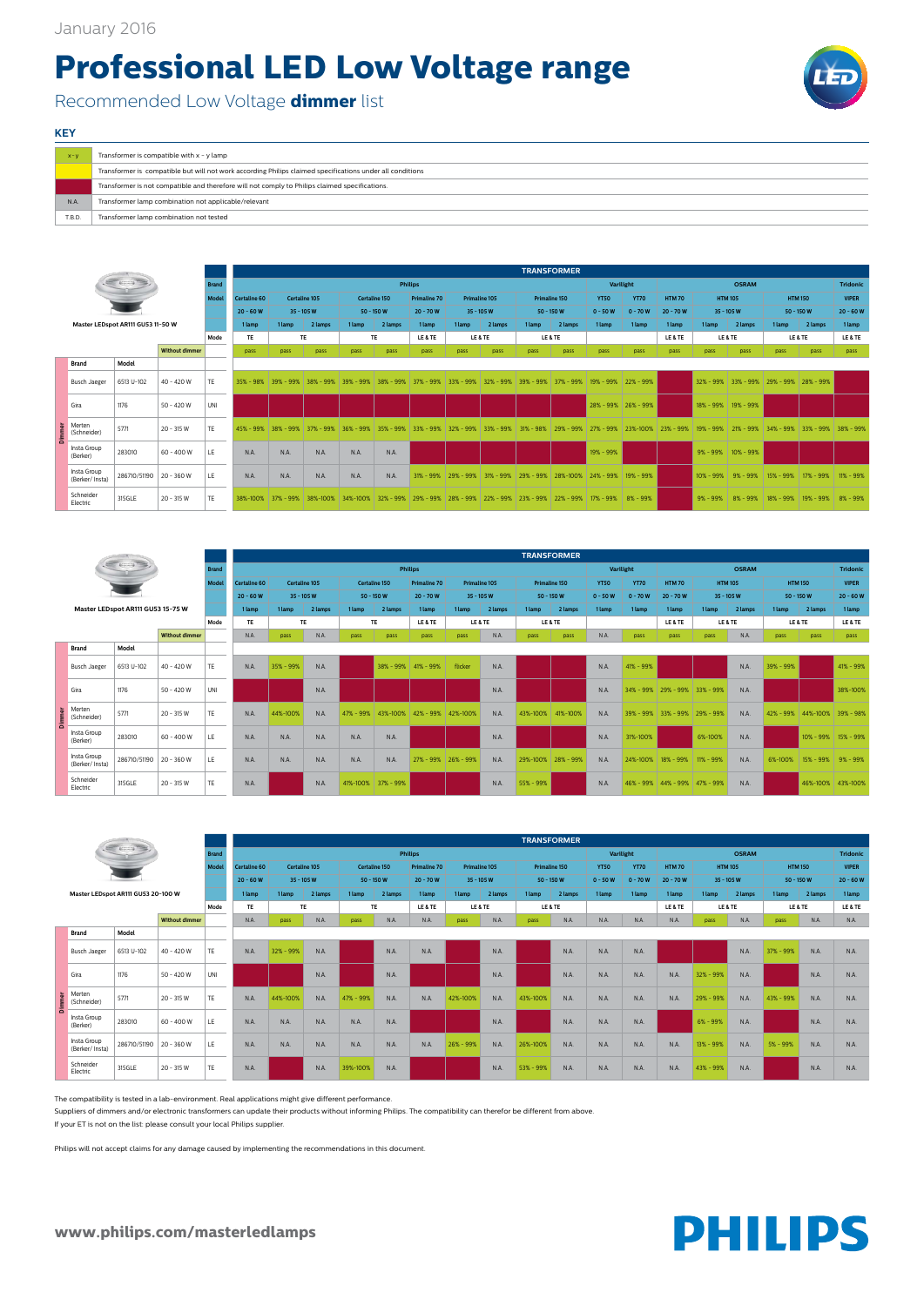**www.philips.com/masterledlamps**



| $X - V$ | Transformer is compatible with $x - y$ lamp                                                               |
|---------|-----------------------------------------------------------------------------------------------------------|
|         | Transformer is compatible but will not work according Philips claimed specifications under all conditions |
|         | Transformer is not compatible and therefore will not comply to Philips claimed specifications.            |
| N.A     | Transformer lamp combination not applicable/relevant                                                      |
| T.B.D.  | Transformer lamp combination not tested                                                                   |

## **KEY**

## **Professional LED Low Voltage range**

Recommended Low Voltage **dimmer** list



|               |                               |                                   |                       |              |                     |                         |                      |               |                      |                                   |               |               |               | <b>TRANSFORMER</b> |               |               |              |               |                |                     |                |                 |
|---------------|-------------------------------|-----------------------------------|-----------------------|--------------|---------------------|-------------------------|----------------------|---------------|----------------------|-----------------------------------|---------------|---------------|---------------|--------------------|---------------|---------------|--------------|---------------|----------------|---------------------|----------------|-----------------|
|               |                               |                                   |                       | <b>Brand</b> |                     |                         |                      |               |                      | <b>Philips</b>                    |               |               |               |                    |               | Varilight     |              |               | <b>OSRAM</b>   |                     |                | <b>Tridonic</b> |
|               |                               |                                   |                       | Mode         | <b>Certaline 60</b> |                         | <b>Certaline 105</b> |               | <b>Certaline 150</b> | <b>Primaline 70</b>               |               | Primaline 105 |               | Primaline 150      | <b>YT50</b>   | <b>YT70</b>   | <b>HTM70</b> |               | <b>HTM 105</b> |                     | <b>HTM 150</b> | <b>VIPER</b>    |
|               |                               |                                   |                       |              | $20 - 60 W$         | $35 - 105$ W            |                      | $50 - 150 W$  |                      | $20 - 70 W$                       |               | 35 - 105 W    |               | $50 - 150 W$       | $0 - 50W$     | $0 - 70W$     | $20 - 70 W$  | $35 - 105W$   |                | $50 - 150 W$        |                | $20 - 60W$      |
|               |                               | Master LEDspot AR111 GU53 11-50 W |                       |              | 1 lamp              | 1 lamp                  | 2 lamps              | 1 lamp        | 2 lamps              | 1 lamp                            | 1 lamp        | 2 lamps       | 1 lamp        | 2 lamps            | 1 lamp        | 1 lamp        | 1 lamp       | 1 lamp        | 2 lamps        | 1 lamp              | 2 lamps        | 1 lamp          |
|               |                               |                                   |                       | Mode         | <b>TE</b>           |                         | <b>TE</b>            |               | <b>TE</b>            | LE & TE                           |               | LE & TE       |               | LE & TE            |               |               | LE & TE      |               | LE & TE        |                     | LE & TE        | LE & TE         |
|               |                               |                                   | <b>Without dimmer</b> |              | pass                | pass                    | pass                 | pass          | pass                 | pass                              | pass          | pass          | pass          | pass               | pass          | pass          | pass         | pass          | pass           | pass                | pass           | pass            |
|               | <b>Brand</b>                  | Model                             |                       |              |                     |                         |                      |               |                      |                                   |               |               |               |                    |               |               |              |               |                |                     |                |                 |
|               | <b>Busch Jaeger</b>           | 6513 U-102                        | 40 - 420 W            | TE           |                     | $35\% - 98\%$ 39% - 99% | $38\% - 99\%$        |               |                      | $39\% - 99\%$ 38% - 99% 37% - 99% | $33\% - 99\%$ | $32\% - 99\%$ | $39\% - 99\%$ | $37\% - 99\%$      | 19% - 99%     | $22\% - 99\%$ |              | $32\% - 99\%$ | $33\% - 99\%$  | 29% - 99% 28% - 99% |                |                 |
|               | Gira                          | 1176                              | $50 - 420W$           | UNI          |                     |                         |                      |               |                      |                                   |               |               |               |                    | 28% - 99%     | $26\% - 99\%$ |              | 18% - 99%     | 19% - 99%      |                     |                |                 |
| <b>Dimmer</b> | Merten<br>(Schneider)         | 5771                              | $20 - 315 W$          | <b>TE</b>    | $45% - 99%$         | $38\% - 99\%$           | $37\% - 99\%$        | $36\% - 99\%$ | 35%<br>$-99%$        | $33% - 99%$                       | $32\% - 99\%$ | $33% - 99%$   | $31\% - 98\%$ | $29% - 99%$        | 27% - 99%     | 23%-100%      | $23% - 99%$  | $19% - 99%$   | 21% - 99%      | $34\% - 99\%$       | $33\% - 99\%$  | 38% - 99%       |
|               | Insta Group<br>(Berker)       | 283010                            | $60 - 400W$           | LE           | N.A.                | N.A.                    | N.A.                 | N.A.          | N.A.                 |                                   |               |               |               |                    | 19% - 99%     |               |              | $9\% - 99\%$  | $10\% - 99\%$  |                     |                |                 |
|               | Insta Group<br>(Berker/Insta) | 286710/51190 20 - 360 W           |                       | LE.          | N.A.                | N.A.                    | N.A.                 | N.A.          | N.A.                 | $31\% - 99\%$                     | 29% - 99%     | $31\% - 99\%$ | $29\% - 99\%$ | 28%-100%           | $24\% - 99\%$ | 19% - 99%     |              | $10\% - 99\%$ | $9\% - 99\%$   | 15% - 99%           | 17% - 99%      | 11% - 99%       |
|               | Schneider<br>Electric         | 315GLE                            | $20 - 315 W$          | TE           | 38%-100%            | $37\% - 99\%$           | 38%-100%             | 34%-100%      | $32\% - 99\%$        | 29% - 99%                         | $28% - 99%$   | 22% - 99%     | $23% - 99%$   | $22\% - 99\%$      | 17% - 99%     | $8\% - 99\%$  |              | $9\% - 99\%$  | $8\% - 99\%$   | 18% - 99%           | 19% - 99%      | $8\% - 99\%$    |

|                               |                                                     |                       |              |                     |               |         |               |              |                     |               |         |                      | <b>TRANSFORMER</b> |             |               |                                   |                |              |                |                     |                 |
|-------------------------------|-----------------------------------------------------|-----------------------|--------------|---------------------|---------------|---------|---------------|--------------|---------------------|---------------|---------|----------------------|--------------------|-------------|---------------|-----------------------------------|----------------|--------------|----------------|---------------------|-----------------|
|                               | $\leftarrow$ $\leftarrow$ $\leftarrow$ $\leftarrow$ |                       | <b>Brand</b> |                     |               |         |               |              | <b>Philips</b>      |               |         |                      |                    | Varilight   |               |                                   |                | <b>OSRAM</b> |                |                     | <b>Tridonic</b> |
|                               |                                                     |                       | Model        | <b>Certaline 60</b> | Certaline 105 |         | Certaline 150 |              | <b>Primaline 70</b> | Primaline 105 |         | <b>Primaline 150</b> |                    | <b>YT50</b> | <b>YT70</b>   | <b>HTM70</b>                      | <b>HTM 105</b> |              | <b>HTM 150</b> |                     | <b>VIPER</b>    |
|                               |                                                     |                       |              | $20 - 60 W$         | $35 - 105 W$  |         |               | $50 - 150 W$ | $20 - 70 W$         | $35 - 105 W$  |         | $50 - 150 W$         |                    | $0 - 50W$   | $0 - 70W$     | $20 - 70W$                        | $35 - 105W$    |              | $50 - 150W$    |                     | $20 - 60 W$     |
|                               | Master LEDspot AR111 GU53 15-75 W                   |                       |              | 1 lamp              | 1 lamp        | 2 lamps | 1 lamp        | 2 lamps      | 1 lamp              | 1 lamp        | 2 lamps | 1 lamp               | 2 lamps            | 1 lamp      | 1 lamp        | 1 lamp                            | 1 lamp         | 2 lamps      | 1 lamp         | 2 lamps             | 1 lamp          |
|                               |                                                     |                       | Mode         | <b>TE</b>           | TE            |         |               | <b>TE</b>    | LE&TE               | LE&TE         |         |                      | LE & TE            |             |               | LE & TE                           | LE & TE        |              | LE & TE        |                     | LE & TE         |
|                               |                                                     | <b>Without dimmer</b> |              | N.A                 | pass          | N.A.    | pass          | pass         | pass                | pass          | N.A.    | pass                 | pass               | N.A.        | pass          | pass                              | pass           | N.A.         | pass           | pass                | pass            |
| <b>Brand</b>                  | Model                                               |                       |              |                     |               |         |               |              |                     |               |         |                      |                    |             |               |                                   |                |              |                |                     |                 |
| <b>Busch Jaeger</b>           | 6513 U-102                                          | 40 - 420 W            | <b>TE</b>    | N.A                 | 35% - 99%     | N.A.    |               | 38% - 99%    | $141% - 99%$        | flicker       | N.A.    |                      |                    | N.A.        | 41% - 99%     |                                   |                | N.A.         | 39% - 99%      |                     | 41% - 99%       |
| Gira                          | 1176                                                | $50 - 420W$           | UNI          |                     |               | N.A     |               |              |                     |               | N.A.    |                      |                    | N.A.        | $34\% - 99\%$ | $ 29\% - 99\% 33\% - 99\%$        |                | N.A.         |                |                     | 38%-100%        |
| Merten<br>(Schneider)         | 5771                                                | $20 - 315$ W          | TE.          | N.A                 | 44%-100%      | N.A.    | 47% - 99%     | 43%-100%     | 42% - 99% 42%-100%  |               | N.A.    | 43%-100% 41%-100%    |                    | N.A.        | 39% - 99%     | $33\% - 99\%$                     | 29% - 99%      | N.A.         | 42% - 99%      | 44%-100%            | 39% - 98%       |
| Insta Group<br>(Berker)       | 283010                                              | $60 - 400W$           | LE.          | N.A.                | N.A.          | N.A.    | N.A.          | N.A.         |                     |               | N.A.    |                      |                    | N.A.        | 31%-100%      |                                   | 6%-100%        | N.A.         |                | 10% - 99% 15% - 99% |                 |
| Insta Group<br>(Berker/Insta) | 286710/51190                                        | 20 - 360 W            | LE.          | N.A.                | N.A.          | N.A.    | N.A.          | N.A.         | 27% - 99% 26% - 99% |               | N.A.    |                      | 29%-100% 28% - 99% | N.A.        | 24%-100%      | 18% - 99%                         | 11% - 99%      | N.A.         | 6%-100%        | 15% - 99%           | $9% - 99%$      |
| Schneider<br>Electric         | 315GLE                                              | $20 - 315$ W          | TE.          | N.A.                |               | N.A.    | 41%-100%      | 37% - 99%    |                     |               | N.A.    | 55% - 99%            |                    | N.A.        |               | 46% - 99%   44% - 99%   47% - 99% |                | N.A.         |                | 46%-100% 43%-100%   |                 |

|                     |                                                                                                                                                                                                                                                                                                                                                     |                       |              |                     |               |               |        |               |                     |        |               |        | <b>TRANSFORMER</b> |             |             |              |               |                |           |                |                 |
|---------------------|-----------------------------------------------------------------------------------------------------------------------------------------------------------------------------------------------------------------------------------------------------------------------------------------------------------------------------------------------------|-----------------------|--------------|---------------------|---------------|---------------|--------|---------------|---------------------|--------|---------------|--------|--------------------|-------------|-------------|--------------|---------------|----------------|-----------|----------------|-----------------|
|                     | $\begin{picture}(20,10) \put(0,0){\line(1,0){10}} \put(15,0){\line(1,0){10}} \put(15,0){\line(1,0){10}} \put(15,0){\line(1,0){10}} \put(15,0){\line(1,0){10}} \put(15,0){\line(1,0){10}} \put(15,0){\line(1,0){10}} \put(15,0){\line(1,0){10}} \put(15,0){\line(1,0){10}} \put(15,0){\line(1,0){10}} \put(15,0){\line(1,0){10}} \put(15,0){\line(1$ |                       | <b>Brand</b> |                     |               |               |        |               | <b>Philips</b>      |        |               |        |                    |             | Varilight   |              |               | <b>OSRAM</b>   |           |                | <b>Tridonic</b> |
|                     |                                                                                                                                                                                                                                                                                                                                                     |                       | Mode         | <b>Certaline 60</b> |               | Certaline 105 |        | Certaline 150 | <b>Primaline 70</b> |        | Primaline 105 |        | Primaline 150      | <b>YT50</b> | <b>YT70</b> | <b>HTM70</b> |               | <b>HTM 105</b> |           | <b>HTM 150</b> | <b>VIPER</b>    |
|                     |                                                                                                                                                                                                                                                                                                                                                     |                       |              | $20 - 60 W$         |               | $35 - 105 W$  |        | $50 - 150 W$  | $20 - 70 W$         |        | $35 - 105 W$  |        | $50 - 150 W$       | $0 - 50W$   | $0 - 70 W$  | $20 - 70 W$  |               | $35 - 105W$    |           | $50 - 150 W$   | $20 - 60 W$     |
|                     | Master LEDspot AR111 GU53 20-100 W                                                                                                                                                                                                                                                                                                                  |                       |              | 1 lamp              | 1 lamp        | 2 lamps       | 1 lamp | 2 lamps       | 1 lamp              | 1 lamp | 2 lamps       | 1 lamp | 2 lamps            | 1 lamp      | 1 lamp      | 1 lamp       | 1 lamp        | 2 lamps        | 1 lamp    | 2 lamps        | 1 lamp          |
|                     |                                                                                                                                                                                                                                                                                                                                                     |                       | Mode         | TE                  |               | TE            |        | TE.           | LE & TE             |        | LE & TE       |        | LE & TE            |             |             | LE & TE      |               | LE & TE        |           | LE & TE        | LE & TE         |
|                     |                                                                                                                                                                                                                                                                                                                                                     | <b>Without dimmer</b> |              | N.A.                | pass          | N.A.          | pass   | N.A.          | N.A.                | pass   | N.A.          | pass   | N.A.               | N.A.        | N.A.        | N.A.         | pass          | N.A.           | pass      | N.A.           | N.A.            |
| <b>Brand</b>        | Model                                                                                                                                                                                                                                                                                                                                               |                       |              |                     |               |               |        |               |                     |        |               |        |                    |             |             |              |               |                |           |                |                 |
| <b>Busch Jaeger</b> | 6513 U-102                                                                                                                                                                                                                                                                                                                                          | $140 - 420W$          | <b>TE</b>    | N.A.                | $32\% - 99\%$ | N.A.          |        | N.A           | N.A.                |        | N.A.          |        | N.A.               | N.A.        | N.A.        |              |               | N.A.           | 37% - 99% | N.A.           | N.A.            |
| Gira                | 1176                                                                                                                                                                                                                                                                                                                                                | 50 - 420 W            | UNI          |                     |               | N.A           |        | N.A.          |                     |        | N.A           |        | N.A.               | N.A.        | N.A.        | N.A.         | $32\% - 99\%$ | N.A.           |           | N.A.           | N.A.            |

|    | Merten<br>$\mathbf{E}$ (Schneider) | 5771                    | $20 - 315 W$ | <b>TE</b> | N.A.        | 44%-100% | N.A  | 47% - 99% | N.A  | N.A. | 42%-100%  | N.A. | 43%-100%  | N.A. | N.A. | N.A. | N.A. | 29% - 99%    | N.A | 43% - 99%  | N.A. | N.A  |
|----|------------------------------------|-------------------------|--------------|-----------|-------------|----------|------|-----------|------|------|-----------|------|-----------|------|------|------|------|--------------|-----|------------|------|------|
| 0. | Insta Group<br>(Berker)            | 283010                  | 60 - 400 W   | LE        | N.A.        | N.A.     | N.A. | N.A.      | N.A  |      |           | N.A. |           | N.A. | N.A. | N.A. |      | $6\% - 99\%$ | N.A |            | N.A. | N.A  |
|    | Insta Group<br>(Berker/Insta)      | 286710/51190 20 - 360 W |              | LE        | <b>N.A.</b> | N.A.     | N.A. | N.A.      | N.A. | N.A. | 26% - 99% | N.A  | 26%-100%  | N.A. | N.A. | N.A. | N.A. | 13% - 99%    | N.A | $5% - 99%$ | N.A. | N.A  |
|    | Schneider<br>Electric              | 315GLE                  | $20 - 315$ W | <b>TE</b> | N.A.        |          | N.A  | 39%-100%  | N.A  |      |           | N.A  | 53% - 99% | N.A. | N.A. | N.A. | N.A. | 43% - 99%    | N.A |            | N.A. | N.A. |

The compatibility is tested in a lab-environment. Real applications might give different performance.

Suppliers of dimmers and/or electronic transformers can update their products without informing Philips. The compatibility can therefor be different from above.

If your ET is not on the list: please consult your local Philips supplier.

Philips will not accept claims for any damage caused by implementing the recommendations in this document.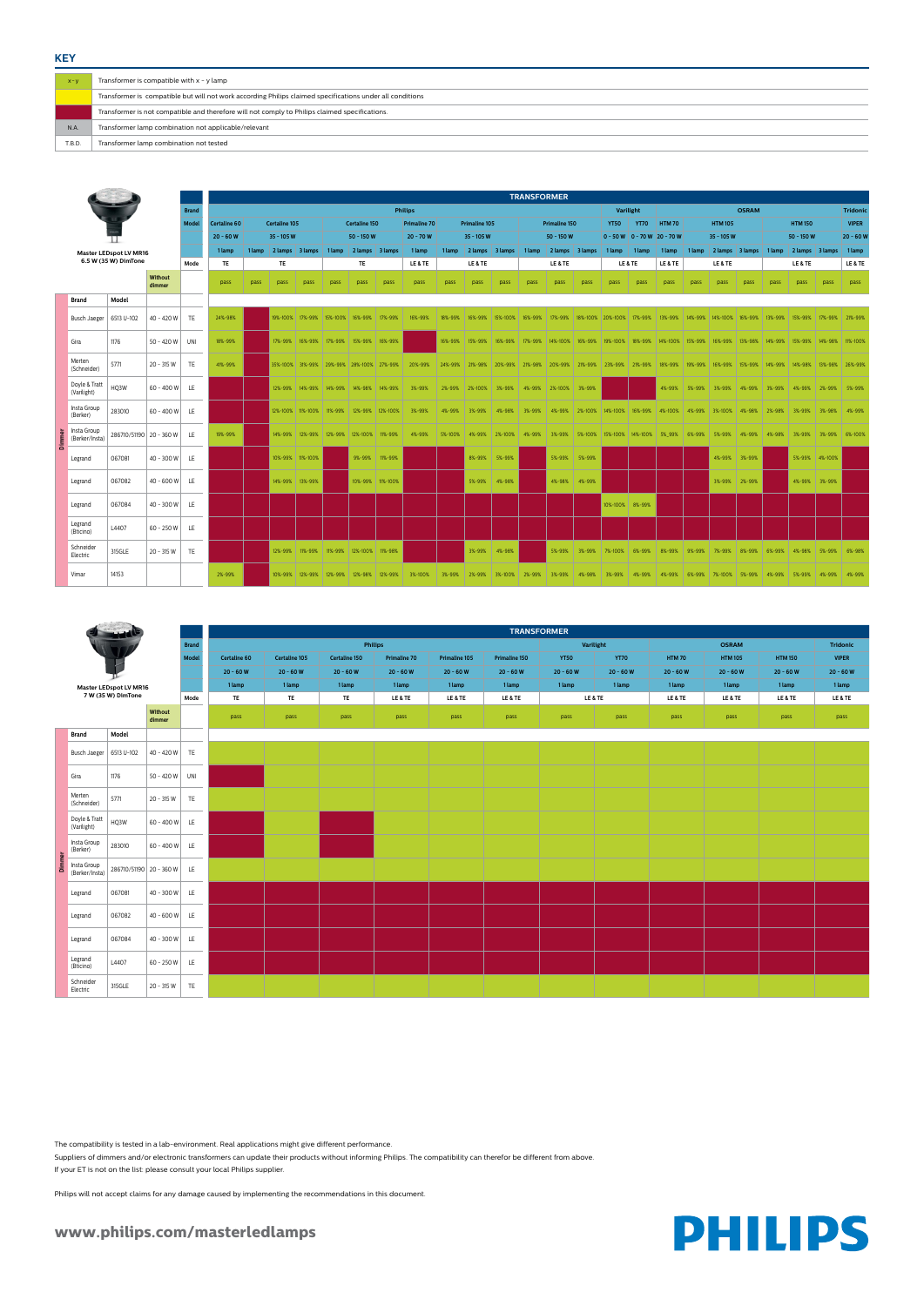## **www.philips.com/masterledlamps**



| $X - V$ | Transformer is compatible with $x - y$ lamp                                                               |
|---------|-----------------------------------------------------------------------------------------------------------|
|         | Transformer is compatible but will not work according Philips claimed specifications under all conditions |
|         | Transformer is not compatible and therefore will not comply to Philips claimed specifications.            |
| N.A.    | Transformer lamp combination not applicable/relevant                                                      |
| T.B.D.  | Transformer lamp combination not tested                                                                   |

**KEY**

|   |                               |                         |                   |              |                     | <b>TRANSFORMER</b><br><b>Philips</b> |                      |                  |        |                                                   |      |                     |               |                                                 |         |              |                       |        |                                         |              |                               |              |                 |                                                                               |        |                        |      |              |
|---|-------------------------------|-------------------------|-------------------|--------------|---------------------|--------------------------------------|----------------------|------------------|--------|---------------------------------------------------|------|---------------------|---------------|-------------------------------------------------|---------|--------------|-----------------------|--------|-----------------------------------------|--------------|-------------------------------|--------------|-----------------|-------------------------------------------------------------------------------|--------|------------------------|------|--------------|
|   |                               |                         |                   | <b>Brand</b> |                     |                                      |                      |                  |        |                                                   |      |                     |               |                                                 |         |              |                       |        | Varilight                               |              |                               |              |                 | <b>OSRAM</b>                                                                  |        |                        |      | Tridonic     |
|   |                               |                         |                   | <b>Model</b> | <b>Certaline 60</b> |                                      | <b>Certaline 105</b> |                  |        | Certaline 150                                     |      | <b>Primaline 70</b> |               | <b>Primaline 105</b>                            |         |              | <b>Primaline 150</b>  |        | <b>YT50</b>                             | <b>YT70</b>  | <b>HTM70</b>                  |              | <b>HTM 105</b>  |                                                                               |        | <b>HTM 150</b>         |      | <b>VIPER</b> |
|   |                               |                         |                   |              | $20 - 60 W$         |                                      | $35 - 105 W$         |                  |        | $50 - 150W$                                       |      | $20 - 70W$          |               | $35 - 105W$                                     |         |              | $50 - 150 W$          |        |                                         |              | $0 - 50 W 0 - 70 W 20 - 70 W$ |              | $35 - 105 W$    |                                                                               |        | $50 - 150$ W           |      | 20 - 60 W    |
|   |                               | Master LEDspot LV MR16  |                   |              | 1 lamp              | 1 lamp                               | 2 lamps 3 lamps      |                  | 1 lamp | 2 lamps 3 lamps                                   |      | 1 lamp              | 1 lamp        | 2 lamps 3 lamps                                 |         | 1 lamp       | 2 lamps 3 lamps       |        | 1 lamp                                  | $ $ 1 lamp   | 1 lamp                        | 1 lamp       | 2 lamps 3 lamps |                                                                               |        | 1 lamp 2 lamps 3 lamps |      | 1 lamp       |
|   |                               | 6.5 W (35 W) DimTone    |                   | Mode         | <b>TE</b>           |                                      | TE                   |                  |        | <b>TE</b>                                         |      | LE & TE             |               | LE & TE                                         |         |              | LE & TE               |        | LE & TE                                 |              | LE & TE                       |              | LE & TE         |                                                                               |        | LE & TE                |      | LE & TE      |
|   |                               |                         | Without<br>dimmer |              | pass                | pass                                 | pass                 | pass             | pass   | pass                                              | pass | pass                | pass          | pass                                            | pass    | pass         | pass                  | pass   | pass                                    | pass         | pass                          | pass         | pass            | pass                                                                          | pass   | pass                   | pass | pass         |
|   | <b>Brand</b>                  | Model                   |                   |              |                     |                                      |                      |                  |        |                                                   |      |                     |               |                                                 |         |              |                       |        |                                         |              |                               |              |                 |                                                                               |        |                        |      |              |
|   | <b>Busch Jaeger</b>           | 6513 U-102              | 40 - 420 W        | TE           | 24%-98%             |                                      |                      |                  |        | 19%-100%   17%-99%   15%-100%   16%-99%   17%-99% |      | 16%-99%             | 18%-99%       | 16%-99%   15%-100%   16%-99%                    |         |              |                       |        | 17%-99%   18%-100%   20%-100%   17%-99% |              |                               |              |                 | 13%-99%   14%-99%   14%-100%   16%-99%   13%-99%   15%-99%   17%-99%          |        |                        |      | 21%-99%      |
|   | Gira                          | 1176                    | 50 - 420 W        | UNI          | 18%-99%             |                                      |                      |                  |        | 17%-99%   16%-99%   17%-99%   15%-99%   16%-99%   |      |                     |               | 16%-99% 15%-99%                                 | 16%-99% | 17%-99%      |                       |        | 14%-100%   16%-99%   19%-100%   18%-99% |              |                               |              |                 | 14%-100%   15%-99%   16%-99%   13%-98%   14%-99%   15%-99%   14%-98%          |        |                        |      | 11%-100%     |
|   | Merten<br>(Schneider)         | 5771                    | $20 - 315 W$      | TE           | 41%-99%             |                                      |                      |                  |        | 35%-100% 31%-99% 29%-99% 28%-100% 27%-99%         |      | 20%-99%             |               | 24%-99% 21%-98% 20%-99% 21%-98% 20%-99% 21%-99% |         |              |                       |        | 23%-99% 21%-99%                         |              |                               |              |                 | 18%-99%   19%-99%   16%-99%   15%-99%   14%-99%   14%-98%   13%-98%   26%-99% |        |                        |      |              |
|   | Doyle & Tratt<br>(Varilight)  | HQ3W                    | $60 - 400 W$      | LE           |                     |                                      |                      |                  |        | 12%-99%   14%-99%   14%-99%   14%-98%   14%-99%   |      | 3%-99%              |               | 2%-99% 2%-100%                                  | 3%-99%  |              | 4%-99% 2%-100% 3%-99% |        |                                         |              | 4%-99%                        | 5%-99%       |                 | 3%-99%   4%-99%   3%-99%   4%-99%   2%-99%   5%-99%                           |        |                        |      |              |
|   | Insta Group<br>(Berker)       | 283010                  | $60 - 400 W$      | LE           |                     |                                      |                      |                  |        | 12%-100% 11%-100% 11%-99% 12%-99% 12%-100%        |      | 3%-99%              | 4%-99% 3%-99% |                                                 | 4%-98%  | 3%-99%       |                       |        | 4%-99% 2%-100% 14%-100% 16%-99%         |              |                               |              |                 | 4%-100% 4%-99% 3%-100% 4%-98% 2%-98% 3%-99% 3%-98%                            |        |                        |      | 4%-99%       |
|   | Insta Group<br>(Berker/Insta) | 286710/51190 20 - 360 W |                   | LE.          | 19%-99%             |                                      |                      |                  |        | 14%-99%   12%-99%   12%-99%   12%-100%   11%-99%  |      | 4%-99%              | 5%-100%       | 4%-99% 2%-100%                                  |         | $4\% - 99\%$ |                       |        | 3%-99% 5%-100% 15%-100% 14%-100% 5% 99% |              |                               | $6\% - 99\%$ | 5%-99% 4%-99%   |                                                                               | 4%-98% | 3%-99% 3%-99%          |      | 6%-100%      |
| ۵ | Legrand                       | 067081                  | 40 - 300 W        | LE           |                     |                                      |                      | 10%-99% 11%-100% |        | 9%-99% 11%-99%                                    |      |                     |               | 8%-99%                                          | 5%-99%  |              | 5%-99%                | 5%-99% |                                         |              |                               |              |                 | 4%-99% 3%-99%                                                                 |        | 5%-99% 4%-100%         |      |              |
|   | Legrand                       | 067082                  | 40 - 600 W        | LE           |                     |                                      |                      | 14%-99% 13%-99%  |        | 10%-99% 11%-100%                                  |      |                     |               | 5%-99%                                          | 4%-98%  |              | 4%-98%                | 4%-99% |                                         |              |                               |              | 3%-99%          | 2%-99%                                                                        |        | 4%-99% 3%-99%          |      |              |
|   | Legrand                       | 067084                  | 40 - 300 W        | LE           |                     |                                      |                      |                  |        |                                                   |      |                     |               |                                                 |         |              |                       |        | 10%-100% 8%-99%                         |              |                               |              |                 |                                                                               |        |                        |      |              |
|   | Legrand<br>(Bticino)          | L4407                   | $60 - 250 W$      | LE           |                     |                                      |                      |                  |        |                                                   |      |                     |               |                                                 |         |              |                       |        |                                         |              |                               |              |                 |                                                                               |        |                        |      |              |
|   | Schneider<br>Electric         | 315GLE                  | $20 - 315 W$      | TE           |                     |                                      |                      |                  |        | 12%-99% 11%-99% 11%-99% 12%-100% 11%-98%          |      |                     |               | 3%-99%                                          | 4%-98%  |              | 5%-99%                | 3%-99% | 7%-100%                                 | 6%-99%       | 8%-99%                        | 9%-99%       | 7%-99%          | 8%-99%                                                                        | 6%-99% | 4%-98% 5%-99%          |      | 6%-98%       |
|   | Vimar                         | 14153                   |                   |              | 2%-99%              |                                      |                      |                  |        | 10%-99%   12%-99%   12%-99%   12%-98%   12%-99%   |      | 3%-100%             | 3%-99%        | 2%-99% 3%-100%                                  |         | 2%-99%       | 3%-99%                | 4%-98% | 3%-99%                                  | $4\% - 99\%$ | $4\% - 99\%$                  |              |                 | 6%-99% 7%-100% 5%-99% 4%-99% 5%-99% 4%-99%                                    |        |                        |      | 4%-99%       |

|                                    |                               |                     |              |              |               |                |              |               | <b>TRANSFORMER</b> |             |             |              |                |                |              |
|------------------------------------|-------------------------------|---------------------|--------------|--------------|---------------|----------------|--------------|---------------|--------------------|-------------|-------------|--------------|----------------|----------------|--------------|
|                                    |                               |                     | <b>Brand</b> |              |               | <b>Philips</b> |              |               |                    |             | Varilight   |              | <b>OSRAM</b>   |                | Tridonic     |
|                                    |                               |                     | Model        | Certaline 60 | Certaline 105 | Certaline 150  | Primaline 70 | Primaline 105 | Primaline 150      | <b>YT50</b> | <b>YT70</b> | <b>HTM70</b> | <b>HTM 105</b> | <b>HTM 150</b> | <b>VIPER</b> |
|                                    | <b>The State</b>              |                     |              | $20 - 60 W$  | $20 - 60 W$   | $20 - 60 W$    | $20 - 60 W$  | $20 - 60 W$   | $20 - 60 W$        | $20 - 60 W$ | $20 - 60 W$ | $20 - 60 W$  | $20 - 60 W$    | $20 - 60 W$    | $20 - 60 W$  |
|                                    | <b>Master LEDspot LV MR16</b> |                     |              | 1 lamp       | 1 lamp        | 1 lamp         | 1 lamp       | 1 lamp        | 1 lamp             | 1 lamp      | 1 lamp      | 1 lamp       | 1 lamp         | 1 lamp         | 1 lamp       |
|                                    | 7 W (35 W) DimTone            |                     | Mode         | TE           | TE            | TE             | LE & TE      | LE & TE       | LE & TE            |             | LE & TE     | LE & TE      | LE & TE        | LE & TE        | LE&TE        |
|                                    |                               | Without<br>dimmer   |              | pass         | pass          | pass           | pass         | pass          | pass               | pass        | pass        | pass         | pass           | pass           | pass         |
| <b>Brand</b>                       | Model                         |                     |              |              |               |                |              |               |                    |             |             |              |                |                |              |
| <b>Busch Jaeger</b>                | 6513 U-102                    | 40 - 420 W          | TE           |              |               |                |              |               |                    |             |             |              |                |                |              |
| Gira                               | 1176                          | 50 - 420 W          | UNI          |              |               |                |              |               |                    |             |             |              |                |                |              |
| Merten<br>(Schneider)              | 5771                          | $20 - 315 W$        | TE           |              |               |                |              |               |                    |             |             |              |                |                |              |
| Doyle & Tratt<br>(Varilight)       | HQ3W                          | $60 - 400W$         | LE           |              |               |                |              |               |                    |             |             |              |                |                |              |
| Insta Group<br>(Berker)            | 283010                        | $60 - 400W$         | LE           |              |               |                |              |               |                    |             |             |              |                |                |              |
| Insta Group<br>∍<br>(Berker/Insta) | 286710/51190 20 - 360 W       |                     | LE           |              |               |                |              |               |                    |             |             |              |                |                |              |
| Legrand                            | 067081                        | 40 - 300 W          | LE           |              |               |                |              |               |                    |             |             |              |                |                |              |
| Legrand                            | 067082                        | $40 - 600W$         | LE           |              |               |                |              |               |                    |             |             |              |                |                |              |
| Legrand                            | 067084                        | 40 - 300 W          | LE           |              |               |                |              |               |                    |             |             |              |                |                |              |
| Legrand<br>(Bticino)               | L4407                         | $60 - 250W$         | LE           |              |               |                |              |               |                    |             |             |              |                |                |              |
| Schneider                          | 310CLF                        | $20.215 M \times T$ |              |              |               |                |              |               |                    |             |             |              |                |                |              |

| $\left[\begin{array}{c c} \text{Finteractic} & \text{315GLE} \\ \text{Electric} & \end{array}\right]$ 20 - 315 W |  |  |  |  |  |  |  |  |
|------------------------------------------------------------------------------------------------------------------|--|--|--|--|--|--|--|--|
|                                                                                                                  |  |  |  |  |  |  |  |  |

The compatibility is tested in a lab-environment. Real applications might give different performance.

Suppliers of dimmers and/or electronic transformers can update their products without informing Philips. The compatibility can therefor be different from above.

If your ET is not on the list: please consult your local Philips supplier.

Philips will not accept claims for any damage caused by implementing the recommendations in this document.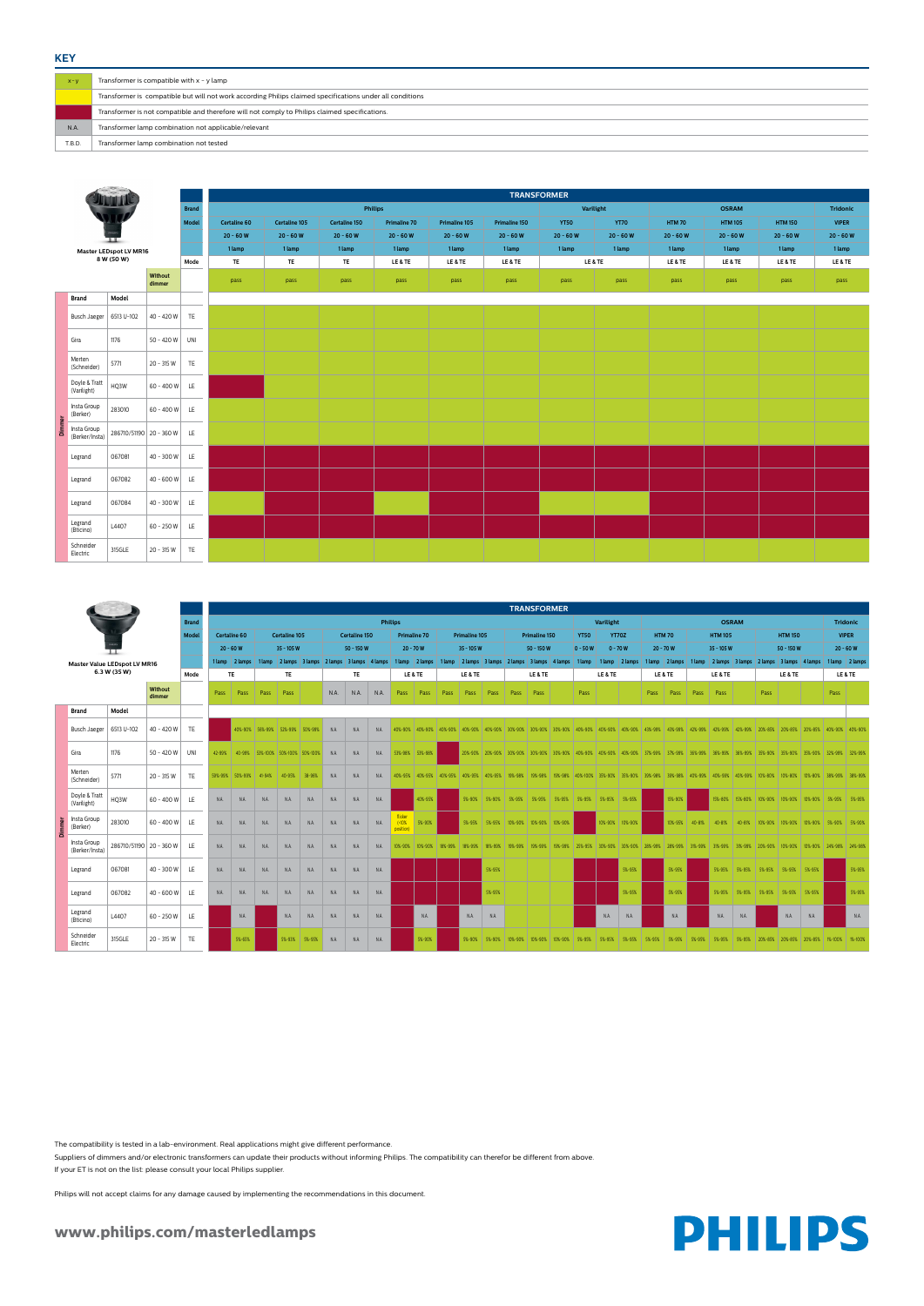## **www.philips.com/masterledlamps**



| $X - V$ | Transformer is compatible with $x - y$ lamp                                                               |
|---------|-----------------------------------------------------------------------------------------------------------|
|         | Transformer is compatible but will not work according Philips claimed specifications under all conditions |
|         | Transformer is not compatible and therefore will not comply to Philips claimed specifications.            |
| N.A     | Transformer lamp combination not applicable/relevant                                                      |
| T.B.D.  | Transformer lamp combination not tested                                                                   |

|                               |                                                     |                   |              |         | <b>TRANSFORMER</b><br><b>Philips</b> |            |                                   |               |      |                                         |      |                              |                     |         |                                         |                         |      |                             |  |                                                                              |           |                 |      |                |            |                |        |                             |                |                                                                                                                                                 |      |                 |
|-------------------------------|-----------------------------------------------------|-------------------|--------------|---------|--------------------------------------|------------|-----------------------------------|---------------|------|-----------------------------------------|------|------------------------------|---------------------|---------|-----------------------------------------|-------------------------|------|-----------------------------|--|------------------------------------------------------------------------------|-----------|-----------------|------|----------------|------------|----------------|--------|-----------------------------|----------------|-------------------------------------------------------------------------------------------------------------------------------------------------|------|-----------------|
|                               |                                                     |                   | <b>Brand</b> |         |                                      |            |                                   |               |      |                                         |      |                              |                     |         |                                         |                         |      |                             |  |                                                                              | Varilight |                 |      |                |            | <b>OSRAM</b>   |        |                             |                |                                                                                                                                                 |      | <b>Tridonic</b> |
|                               |                                                     |                   | <b>Model</b> |         | <b>Certaline 60</b>                  |            | <b>Certaline 105</b>              |               |      | <b>Certaline 150</b>                    |      |                              | <b>Primaline 70</b> |         | <b>Primaline 105</b>                    |                         |      | <b>Primaline 150</b>        |  | <b>YT50</b>                                                                  |           | <b>YT70Z</b>    |      | HTM 70         |            | <b>HTM 105</b> |        |                             | <b>HTM 150</b> |                                                                                                                                                 |      | <b>VIPER</b>    |
|                               |                                                     |                   |              |         | $20 - 60 W$                          |            | $35 - 105 W$                      |               |      | 50 - 150 W                              |      |                              | $20 - 70 W$         |         | $35 - 105 W$                            |                         |      | $50 - 150 W$                |  | $0 - 50W$                                                                    |           | $0 - 70W$       |      | $20 - 70 W$    |            | $35 - 105W$    |        |                             | $50 - 150 W$   |                                                                                                                                                 |      | $20 - 60 W$     |
|                               | <b>Master Value LEDspot LV MR16</b><br>6.3 W (35 W) |                   |              |         | 1 lamp 2 lamps                       | 1 lamp     |                                   |               |      | 2 lamps 3 lamps 2 lamps 3 lamps 4 lamps |      |                              | 1 lamp 2 lamps      | 1 lamp  | 2 lamps 3 lamps 2 lamps 3 lamps 4 lamps |                         |      |                             |  | 1 lamp                                                                       |           | 1 lamp 2 lamps  |      | 1 lamp 2 lamps |            |                |        |                             |                | 1 lamp 2 lamps 3 lamps 2 lamps 3 lamps 4 lamps                                                                                                  |      | 1 lamp 2 lamps  |
|                               |                                                     |                   | Mode         |         | TE                                   |            | TE                                |               |      | TE                                      |      |                              | LE & TE             |         | LE & TE                                 |                         |      | LE&TE                       |  |                                                                              | LE & TE   |                 |      | LE & TE        |            | LE & TE        |        |                             | LE&TE          |                                                                                                                                                 |      | LE & TE         |
|                               |                                                     | Without<br>dimmer |              | Pass    | Pass                                 | Pass       | Pass                              |               | N.A. | N.A.                                    | N.A. | Pass                         | Pass                | Pass    | Pass                                    | Pass                    | Pass | Pass                        |  | Pass                                                                         |           |                 | Pass | Pass           | Pass       | Pass           |        | Pass                        |                |                                                                                                                                                 | Pass |                 |
| <b>Brand</b>                  | Model                                               |                   |              |         |                                      |            |                                   |               |      |                                         |      |                              |                     |         |                                         |                         |      |                             |  |                                                                              |           |                 |      |                |            |                |        |                             |                |                                                                                                                                                 |      |                 |
| <b>Busch Jaeger</b>           | 6513 U-102                                          | 40 - 420 W        | TE           |         |                                      |            | 40%-90% 56%-99% 52%-99% 50%-99%   |               | N.A. | N.A.                                    | N.A. |                              | 40%-90% 40%-90%     | 40%-90% |                                         |                         |      |                             |  |                                                                              |           |                 |      |                |            |                |        |                             |                | 40%-90% 40%-90% 30%-90% 30%-90% 30%-90% 40%-90% 40%-90% 40%-90% 43%-99% 43%-99% 42%-99% 42%-99% 42%-99% 20%-85% 20%-85% 20%-85% 40%-90% 40%-90% |      |                 |
| Gira                          | 1176                                                | 50 - 420 W        | UNI          | 42-99%  |                                      |            | 40-99% 53%-100% 50%-100% 50%-100% |               | N.A. | N.A.                                    | N.A. |                              | 53%-98% 53%-98%     |         |                                         |                         |      |                             |  |                                                                              |           |                 |      |                |            |                |        |                             |                | 20%-90% 20%-90% 30%-90% 30%-90% 30%-90% 40%-90% 40%-90% 40%-90% 37%-99% 37%-99% 36%-99% 36%-99% 35%-99% 35%-90% 35%-90% 32%-90% 32%-99%         |      |                 |
| Merten<br>(Schneider)         | 5771                                                | $20 - 315$ W      | TE           | 59%-99% | 50%-99%                              | $41 - 94%$ | $40 - 95%$                        | 38-96%        | N.A. | N.A.                                    | N.A. | 40%-95%                      | 40%-95%             | 40%-95% |                                         | 40%-95% 40%-95% 19%-98% |      |                             |  | 19%-98%   19%-98%   40%-100%   35%-90%   35%-90%   39%-98%   39%-98%         |           |                 |      |                |            |                |        |                             |                | 40%-99%   40%-99%   40%-99%   10%-80%   10%-80%   10%-80%   38%-99%   38%-99%                                                                   |      |                 |
| Doyle & Tratt<br>(Varilight)  | HQ3W                                                | $60 - 400W$       | LE.          | N.A.    | N.A.                                 | N.A.       | N.A.                              | N.A.          | N.A. | N.A.                                    | N.A. |                              | 40%-95%             |         |                                         |                         |      |                             |  | 5%-90% 5%-90% 5%-95% 5%-95% 5%-95% 5%-95% 5%-95% 5%-95% 5%-95%               |           |                 |      | 15%-90%        |            |                |        |                             |                | 15%-80% 15%-80% 10%-90% 10%-90% 10%-90% 5%-95% 5%-95%                                                                                           |      |                 |
| Insta Group<br>(Berker)       | 283010                                              | 60 - 400 W        | LE           | N.A.    | N.A                                  | N.A.       | N.A.                              | N.A.          | N.A. | N.A.                                    | N.A. | flicker<br>(10%<br>position) | 5%-90%              |         | 5%-95%                                  | 5%-95%                  |      | 10%-90% 10%-90% 10%-90%     |  |                                                                              |           | 10%-90% 10%-90% |      | 10%-95%        | $40 - 81%$ | 40-81%         | 40-81% |                             |                | 10%-90%   10%-90%   10%-90%   5%-90%   5%-90%                                                                                                   |      |                 |
| Insta Group<br>(Berker/Insta) | 286710/51190 20 - 360 W                             |                   | LE.          | N.A.    | N.A.                                 | N.A.       | N.A.                              | N.A.          | N.A. | N.A.                                    | N.A. | 10%-90%                      | 10%-90%             | 18%-99% | 18%-99%                                 | 18%-99%                 |      | 19%-99%   19%-99%   19%-99% |  | 25%-95% 30%-90% 30%-90% 28%-99% 28%-99%                                      |           |                 |      |                | 31%-99%    |                |        |                             |                | 31%-99% 31%-99% 20%-90% 10%-90% 10%-90% 24%-98% 24%-98%                                                                                         |      |                 |
| Legrand                       | 067081                                              | $40 - 300 W$      | LE           | N.A.    | N.A.                                 | N.A.       | N.A.                              | N.A.          | N.A. | N.A.                                    | N.A. |                              |                     |         |                                         | 5%-95%                  |      |                             |  |                                                                              |           | 5%-95%          |      | 5%-95%         |            |                |        | 5%-95% 5%-95% 5%-95% 5%-95% |                | 5%-95%                                                                                                                                          |      | 5%-95%          |
| Legrand                       | 067082                                              | $40 - 600W$       | LE           | N.A.    | N.A.                                 | N.A.       | N.A.                              | N.A.          | N.A. | N.A.                                    | N.A. |                              |                     |         |                                         | 5%-95%                  |      |                             |  |                                                                              |           | 5%-95%          |      | 5%-95%         |            | 5%-95%         |        | 5%-95% 5%-95% 5%-95%        |                | 5%-95%                                                                                                                                          |      | 5%-95%          |
| Legrand<br>(Bticino)          | L4407                                               | $60 - 250W$       | LE.          |         | N.A.                                 |            | N.A.                              | N.A.          | N.A. | N.A.                                    | N.A. |                              | N.A.                |         | N.A.                                    | N.A.                    |      |                             |  |                                                                              | N.A.      | N.A.            |      | N.A.           |            | N.A.           | N.A.   |                             | N.A.           | N.A.                                                                                                                                            |      | N.A.            |
| Schneider<br>Electric         | 315GLE                                              | $20 - 315$ W      | TE           |         | 5%-65%                               |            |                                   | 5%-93% 5%-95% | N.A. | N.A.                                    | N.A. |                              | 5%-90%              |         |                                         |                         |      |                             |  | 5%-90% 5%-90% 10%-90% 10%-90% 10%-90% 5%-95% 5%-95% 5%-95% 1 5%-95% 1 5%-95% |           |                 |      | 5%-95%         | 5%-95%     | 5%-95%         |        |                             |                | 5%-95%   20%-85%   20%-85%   20%-85%   1%-100%   1%-100%                                                                                        |      |                 |

|                                                                |                               |                         | <b>TRANSFORMER</b> |                |               |               |                     |               |                      |             |            |              |                |                |              |             |
|----------------------------------------------------------------|-------------------------------|-------------------------|--------------------|----------------|---------------|---------------|---------------------|---------------|----------------------|-------------|------------|--------------|----------------|----------------|--------------|-------------|
| л<br>Master LEDspot LV MR16<br>8 W (50 W)<br>Without<br>dimmer |                               |                         | <b>Brand</b>       | <b>Philips</b> |               |               |                     |               |                      | Varilight   |            |              | <b>OSRAM</b>   |                | Tridonic     |             |
|                                                                |                               |                         | Model              | Certaline 60   | Certaline 105 | Certaline 150 | <b>Primaline 70</b> | Primaline 105 | <b>Primaline 150</b> | <b>YT50</b> | YT70       | <b>HTM70</b> | <b>HTM 105</b> | <b>HTM 150</b> | <b>VIPER</b> |             |
|                                                                |                               |                         |                    |                | $20 - 60 W$   | $20 - 60 W$   | $20 - 60 W$         | $20 - 60 W$   | $20 - 60 W$          | $20 - 60 W$ | $20 - 60W$ | $20 - 60 W$  | $20 - 60 W$    | $20 - 60 W$    | $20 - 60 W$  | $20 - 60 W$ |
|                                                                |                               |                         |                    |                | 1 lamp        | 1 lamp        | 1 lamp              | 1 lamp        | 1 lamp               | 1 lamp      | 1 lamp     | 1 lamp       | 1 lamp         | 1 lamp         | 1 lamp       | 1 lamp      |
|                                                                |                               |                         |                    | Mode           | TE            | TE            | TE                  | LE & TE       | LE & TE              | LE & TE     | LE & TE    |              | LE & TE        | LE & TE        | LE & TE      | LE & TE     |
|                                                                |                               |                         |                    |                | pass          | pass          | pass                | pass          | pass                 | pass        | pass       | pass         | pass           | pass           | pass         | pass        |
|                                                                | <b>Brand</b>                  | Model                   |                    |                |               |               |                     |               |                      |             |            |              |                |                |              |             |
|                                                                | <b>Busch Jaeger</b>           | 6513 U-102              | 40 - 420 W TE      |                |               |               |                     |               |                      |             |            |              |                |                |              |             |
|                                                                | Gira                          | 1176                    | $50 - 420 W$ UNI   |                |               |               |                     |               |                      |             |            |              |                |                |              |             |
|                                                                | Merten<br>(Schneider)         | 5771                    | 20 - 315 W         | TE             |               |               |                     |               |                      |             |            |              |                |                |              |             |
|                                                                | Doyle & Tratt<br>(Varilight)  | HQ3W                    | $60 - 400 W$ LE    |                |               |               |                     |               |                      |             |            |              |                |                |              |             |
|                                                                | Insta Group<br>(Berker)       | 283010                  | $60 - 400 W$ LE    |                |               |               |                     |               |                      |             |            |              |                |                |              |             |
| Dimmer                                                         | Insta Group<br>(Berker/Insta) | 286710/51190 20 - 360 W |                    | LE             |               |               |                     |               |                      |             |            |              |                |                |              |             |
|                                                                | Legrand                       | 067081                  | $40 - 300 W$ LE    |                |               |               |                     |               |                      |             |            |              |                |                |              |             |
|                                                                | Legrand                       | 067082                  | $40 - 600 W$ LE    |                |               |               |                     |               |                      |             |            |              |                |                |              |             |
|                                                                | Legrand                       | 067084                  | $40 - 300 W$ LE    |                |               |               |                     |               |                      |             |            |              |                |                |              |             |
|                                                                | Legrand<br>(Bticino)          | L4407                   | 60 - 250 W LE      |                |               |               |                     |               |                      |             |            |              |                |                |              |             |
|                                                                | Schneider<br>Electric         | 315GLE                  | 20 - 315 W         | TE             |               |               |                     |               |                      |             |            |              |                |                |              |             |

The compatibility is tested in a lab-environment. Real applications might give different performance.

Suppliers of dimmers and/or electronic transformers can update their products without informing Philips. The compatibility can therefor be different from above.

If your ET is not on the list: please consult your local Philips supplier.

Philips will not accept claims for any damage caused by implementing the recommendations in this document.